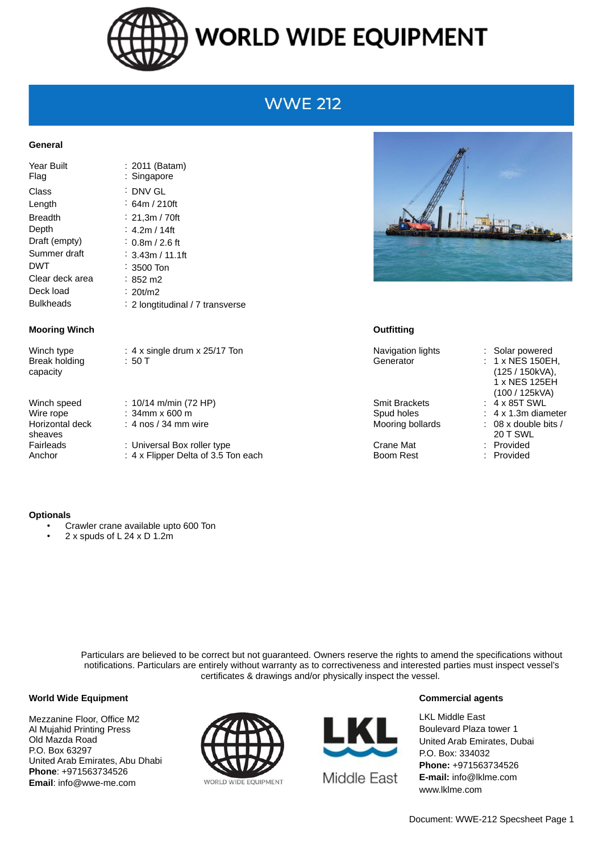

# **WORLD WIDE EQUIPMENT**

## **WWE 212**

### **General**

| Year Built<br>Flag | : 2011 (Batam)<br>: Singapore    |
|--------------------|----------------------------------|
| Class              | :DNV GL                          |
| Length             | ∶ 64m / 210ft                    |
| <b>Breadth</b>     | : 21.3m / 70ft                   |
| Depth              | : 4.2m / 14ft                    |
| Draft (empty)      | ∶ 0.8m / 2.6 ft                  |
| Summer draft       | : 3.43m / 11.1ft                 |
| <b>DWT</b>         | ∶ 3500 Ton                       |
| Clear deck area    | :852 m2                          |
| Deck load          | : 20t/m2                         |
| <b>Bulkheads</b>   | : 2 longtitudinal / 7 transverse |

#### **Mooring Winch Outfitting**

Break holding capacity

Horizontal deck sheaves

Winch type : 4 x single drum x 25/17 Ton Navigation lights : Solar powered : 50 T Generator : 1 x NES 150EH,

Winch speed : 10/14 m/min (72 HP) Smit Brackets : 4 x 85T SWL Wire rope : 34mm x 600 m <br>
Spud holes : 4 x 1.3m diameter : 4 nos / 34 mm wire  $\blacksquare$  Mooring bollards : 08 x double bits /

Fairleads : Universal Box roller type Crane Mat Crane Mat : Provided Anchor : 4 x Flipper Delta of 3.5 Ton each Boom Rest : Provided



(125 / 150kVA), 1 x NES 125EH (100 / 125kVA) 20 T SWL

#### **Optionals**

- Crawler crane available upto 600 Ton
- 2 x spuds of  $L$  24 x D 1.2m

Particulars are believed to be correct but not guaranteed. Owners reserve the rights to amend the specifications without notifications. Particulars are entirely without warranty as to correctiveness and interested parties must inspect vessel's certificates & drawings and/or physically inspect the vessel.

#### **World Wide Equipment**

Mezzanine Floor, Office M2 Al Mujahid Printing Press Old Mazda Road P.O. Box 63297 United Arab Emirates, Abu Dhabi **Phone**: +971563734526 **Email**: info@wwe-me.com





#### **Commercial agents**

LKL Middle East Boulevard Plaza tower 1 United Arab Emirates, Dubai P.O. Box: 334032 **Phone:** +971563734526 **E-mail:** info@lklme.com www.lklme.com